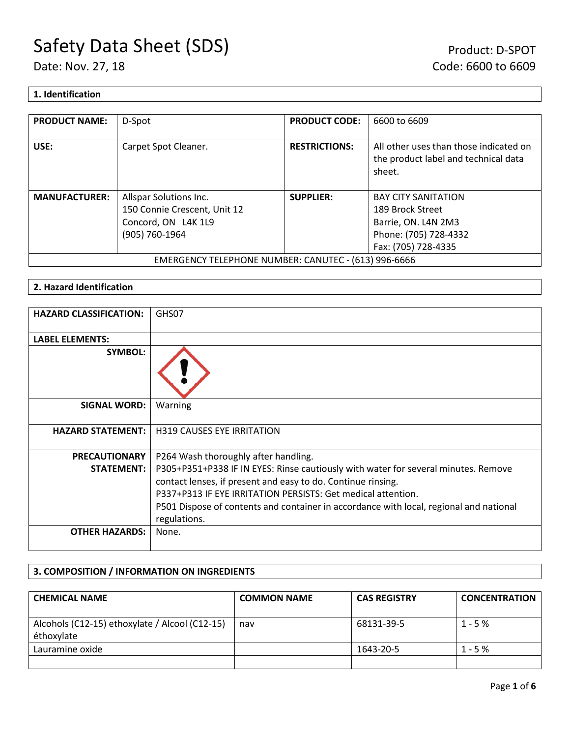### **1. Identification**

| <b>PRODUCT NAME:</b>                                 | D-Spot                       | <b>PRODUCT CODE:</b> | 6600 to 6609                                                                             |
|------------------------------------------------------|------------------------------|----------------------|------------------------------------------------------------------------------------------|
| USE:                                                 | Carpet Spot Cleaner.         | <b>RESTRICTIONS:</b> | All other uses than those indicated on<br>the product label and technical data<br>sheet. |
| <b>MANUFACTURER:</b>                                 | Allspar Solutions Inc.       | <b>SUPPLIER:</b>     | <b>BAY CITY SANITATION</b>                                                               |
|                                                      | 150 Connie Crescent, Unit 12 |                      | 189 Brock Street                                                                         |
|                                                      | Concord, ON L4K 1L9          |                      | Barrie, ON. L4N 2M3                                                                      |
|                                                      | (905) 760-1964               |                      | Phone: (705) 728-4332                                                                    |
|                                                      |                              |                      | Fax: (705) 728-4335                                                                      |
| EMERGENCY TELEPHONE NUMBER: CANUTEC - (613) 996-6666 |                              |                      |                                                                                          |

### **2. Hazard Identification**

| <b>HAZARD CLASSIFICATION:</b> | GHS07                                                                                                  |
|-------------------------------|--------------------------------------------------------------------------------------------------------|
| <b>LABEL ELEMENTS:</b>        |                                                                                                        |
| <b>SYMBOL:</b>                |                                                                                                        |
| <b>SIGNAL WORD:</b>           | Warning                                                                                                |
| <b>HAZARD STATEMENT:</b>      | <b>H319 CAUSES EYE IRRITATION</b>                                                                      |
| <b>PRECAUTIONARY</b>          | P264 Wash thoroughly after handling.                                                                   |
| <b>STATEMENT:</b>             | P305+P351+P338 IF IN EYES: Rinse cautiously with water for several minutes. Remove                     |
|                               | contact lenses, if present and easy to do. Continue rinsing.                                           |
|                               | P337+P313 IF EYE IRRITATION PERSISTS: Get medical attention.                                           |
|                               | P501 Dispose of contents and container in accordance with local, regional and national<br>regulations. |
| <b>OTHER HAZARDS:</b>         | None.                                                                                                  |

### **3. COMPOSITION / INFORMATION ON INGREDIENTS**

| <b>CHEMICAL NAME</b>                                         | <b>COMMON NAME</b> | <b>CAS REGISTRY</b> | <b>CONCENTRATION</b> |
|--------------------------------------------------------------|--------------------|---------------------|----------------------|
| Alcohols (C12-15) ethoxylate / Alcool (C12-15)<br>éthoxylate | nav                | 68131-39-5          | $1 - 5%$             |
| Lauramine oxide                                              |                    | 1643-20-5           | $1 - 5%$             |
|                                                              |                    |                     |                      |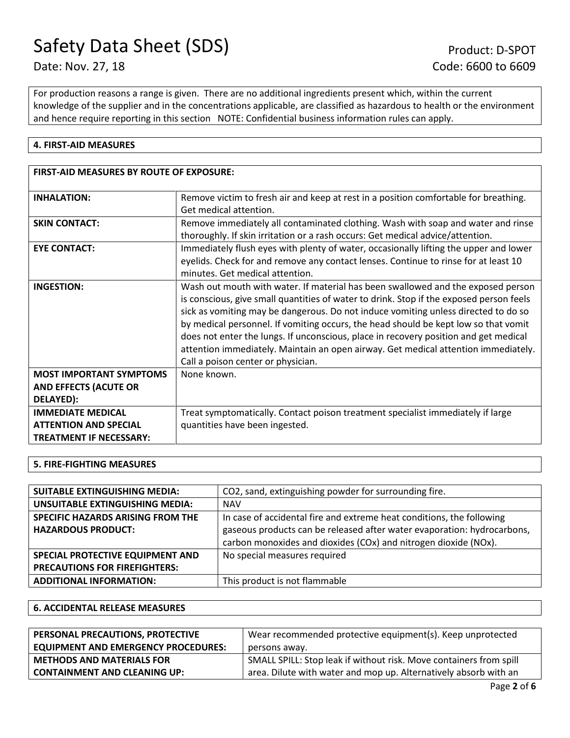For production reasons a range is given. There are no additional ingredients present which, within the current knowledge of the supplier and in the concentrations applicable, are classified as hazardous to health or the environment and hence require reporting in this section NOTE: Confidential business information rules can apply.

### **4. FIRST-AID MEASURES**

| <b>FIRST-AID MEASURES BY ROUTE OF EXPOSURE:</b>                                            |                                                                                                                                                                                                                                                                                                                                                                                                                                                                                                                                                                              |
|--------------------------------------------------------------------------------------------|------------------------------------------------------------------------------------------------------------------------------------------------------------------------------------------------------------------------------------------------------------------------------------------------------------------------------------------------------------------------------------------------------------------------------------------------------------------------------------------------------------------------------------------------------------------------------|
| <b>INHALATION:</b>                                                                         | Remove victim to fresh air and keep at rest in a position comfortable for breathing.<br>Get medical attention.                                                                                                                                                                                                                                                                                                                                                                                                                                                               |
| <b>SKIN CONTACT:</b>                                                                       | Remove immediately all contaminated clothing. Wash with soap and water and rinse<br>thoroughly. If skin irritation or a rash occurs: Get medical advice/attention.                                                                                                                                                                                                                                                                                                                                                                                                           |
| <b>EYE CONTACT:</b>                                                                        | Immediately flush eyes with plenty of water, occasionally lifting the upper and lower<br>eyelids. Check for and remove any contact lenses. Continue to rinse for at least 10<br>minutes. Get medical attention.                                                                                                                                                                                                                                                                                                                                                              |
| <b>INGESTION:</b>                                                                          | Wash out mouth with water. If material has been swallowed and the exposed person<br>is conscious, give small quantities of water to drink. Stop if the exposed person feels<br>sick as vomiting may be dangerous. Do not induce vomiting unless directed to do so<br>by medical personnel. If vomiting occurs, the head should be kept low so that vomit<br>does not enter the lungs. If unconscious, place in recovery position and get medical<br>attention immediately. Maintain an open airway. Get medical attention immediately.<br>Call a poison center or physician. |
| <b>MOST IMPORTANT SYMPTOMS</b><br><b>AND EFFECTS (ACUTE OR</b><br>DELAYED):                | None known.                                                                                                                                                                                                                                                                                                                                                                                                                                                                                                                                                                  |
| <b>IMMEDIATE MEDICAL</b><br><b>ATTENTION AND SPECIAL</b><br><b>TREATMENT IF NECESSARY:</b> | Treat symptomatically. Contact poison treatment specialist immediately if large<br>quantities have been ingested.                                                                                                                                                                                                                                                                                                                                                                                                                                                            |

### **5. FIRE-FIGHTING MEASURES**

| <b>SUITABLE EXTINGUISHING MEDIA:</b>   | CO2, sand, extinguishing powder for surrounding fire.                   |
|----------------------------------------|-------------------------------------------------------------------------|
| <b>UNSUITABLE EXTINGUISHING MEDIA:</b> | <b>NAV</b>                                                              |
| SPECIFIC HAZARDS ARISING FROM THE      | In case of accidental fire and extreme heat conditions, the following   |
| <b>HAZARDOUS PRODUCT:</b>              | gaseous products can be released after water evaporation: hydrocarbons, |
|                                        | carbon monoxides and dioxides (COx) and nitrogen dioxide (NOx).         |
| SPECIAL PROTECTIVE EQUIPMENT AND       | No special measures required                                            |
| <b>PRECAUTIONS FOR FIREFIGHTERS:</b>   |                                                                         |
| <b>ADDITIONAL INFORMATION:</b>         | This product is not flammable                                           |

### **6. ACCIDENTAL RELEASE MEASURES**

| PERSONAL PRECAUTIONS, PROTECTIVE           | Wear recommended protective equipment(s). Keep unprotected         |  |
|--------------------------------------------|--------------------------------------------------------------------|--|
| <b>EQUIPMENT AND EMERGENCY PROCEDURES:</b> | persons away.                                                      |  |
| <b>METHODS AND MATERIALS FOR</b>           | SMALL SPILL: Stop leak if without risk. Move containers from spill |  |
| <b>CONTAINMENT AND CLEANING UP:</b>        | area. Dilute with water and mop up. Alternatively absorb with an   |  |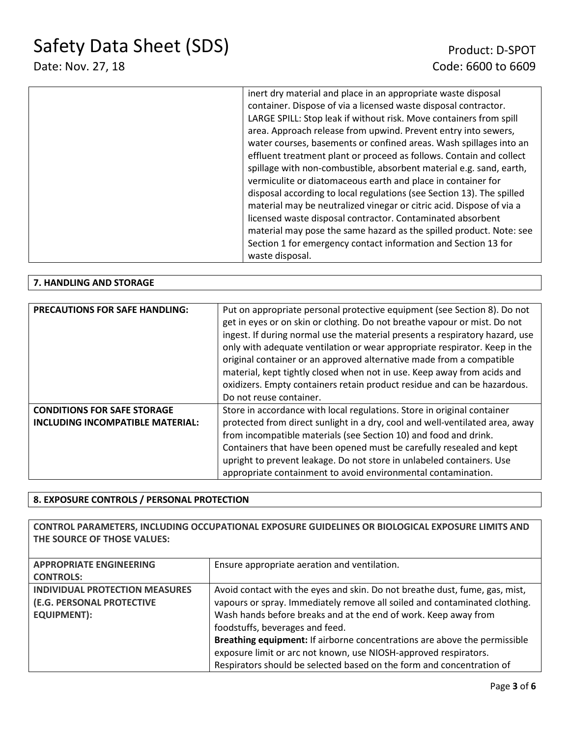# Date: Nov. 27, 18 Code: 6600 to 6609

| inert dry material and place in an appropriate waste disposal         |
|-----------------------------------------------------------------------|
| container. Dispose of via a licensed waste disposal contractor.       |
| LARGE SPILL: Stop leak if without risk. Move containers from spill    |
| area. Approach release from upwind. Prevent entry into sewers,        |
| water courses, basements or confined areas. Wash spillages into an    |
| effluent treatment plant or proceed as follows. Contain and collect   |
| spillage with non-combustible, absorbent material e.g. sand, earth,   |
| vermiculite or diatomaceous earth and place in container for          |
| disposal according to local regulations (see Section 13). The spilled |
| material may be neutralized vinegar or citric acid. Dispose of via a  |
| licensed waste disposal contractor. Contaminated absorbent            |
| material may pose the same hazard as the spilled product. Note: see   |
| Section 1 for emergency contact information and Section 13 for        |
|                                                                       |
| waste disposal.                                                       |

### **7. HANDLING AND STORAGE**

| <b>PRECAUTIONS FOR SAFE HANDLING:</b> | Put on appropriate personal protective equipment (see Section 8). Do not<br>get in eyes or on skin or clothing. Do not breathe vapour or mist. Do not<br>ingest. If during normal use the material presents a respiratory hazard, use<br>only with adequate ventilation or wear appropriate respirator. Keep in the<br>original container or an approved alternative made from a compatible<br>material, kept tightly closed when not in use. Keep away from acids and<br>oxidizers. Empty containers retain product residue and can be hazardous.<br>Do not reuse container. |
|---------------------------------------|-------------------------------------------------------------------------------------------------------------------------------------------------------------------------------------------------------------------------------------------------------------------------------------------------------------------------------------------------------------------------------------------------------------------------------------------------------------------------------------------------------------------------------------------------------------------------------|
| <b>CONDITIONS FOR SAFE STORAGE</b>    | Store in accordance with local regulations. Store in original container                                                                                                                                                                                                                                                                                                                                                                                                                                                                                                       |
| INCLUDING INCOMPATIBLE MATERIAL:      | protected from direct sunlight in a dry, cool and well-ventilated area, away                                                                                                                                                                                                                                                                                                                                                                                                                                                                                                  |
|                                       | from incompatible materials (see Section 10) and food and drink.                                                                                                                                                                                                                                                                                                                                                                                                                                                                                                              |
|                                       | Containers that have been opened must be carefully resealed and kept                                                                                                                                                                                                                                                                                                                                                                                                                                                                                                          |
|                                       | upright to prevent leakage. Do not store in unlabeled containers. Use                                                                                                                                                                                                                                                                                                                                                                                                                                                                                                         |
|                                       | appropriate containment to avoid environmental contamination.                                                                                                                                                                                                                                                                                                                                                                                                                                                                                                                 |

### **8. EXPOSURE CONTROLS / PERSONAL PROTECTION**

**CONTROL PARAMETERS, INCLUDING OCCUPATIONAL EXPOSURE GUIDELINES OR BIOLOGICAL EXPOSURE LIMITS AND THE SOURCE OF THOSE VALUES:**

| <b>APPROPRIATE ENGINEERING</b>        | Ensure appropriate aeration and ventilation.                                |
|---------------------------------------|-----------------------------------------------------------------------------|
| <b>CONTROLS:</b>                      |                                                                             |
| <b>INDIVIDUAL PROTECTION MEASURES</b> | Avoid contact with the eyes and skin. Do not breathe dust, fume, gas, mist, |
| (E.G. PERSONAL PROTECTIVE             | vapours or spray. Immediately remove all soiled and contaminated clothing.  |
| <b>EQUIPMENT):</b>                    | Wash hands before breaks and at the end of work. Keep away from             |
|                                       | foodstuffs, beverages and feed.                                             |
|                                       | Breathing equipment: If airborne concentrations are above the permissible   |
|                                       | exposure limit or arc not known, use NIOSH-approved respirators.            |
|                                       | Respirators should be selected based on the form and concentration of       |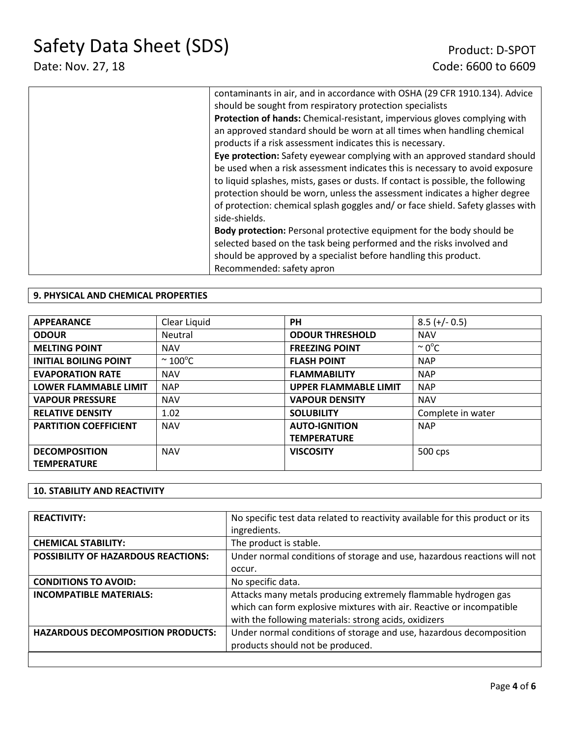| contaminants in air, and in accordance with OSHA (29 CFR 1910.134). Advice       |
|----------------------------------------------------------------------------------|
| should be sought from respiratory protection specialists                         |
| Protection of hands: Chemical-resistant, impervious gloves complying with        |
| an approved standard should be worn at all times when handling chemical          |
| products if a risk assessment indicates this is necessary.                       |
| Eye protection: Safety eyewear complying with an approved standard should        |
| be used when a risk assessment indicates this is necessary to avoid exposure     |
| to liquid splashes, mists, gases or dusts. If contact is possible, the following |
| protection should be worn, unless the assessment indicates a higher degree       |
| of protection: chemical splash goggles and/or face shield. Safety glasses with   |
| side-shields.                                                                    |
| <b>Body protection:</b> Personal protective equipment for the body should be     |
| selected based on the task being performed and the risks involved and            |
| should be approved by a specialist before handling this product.                 |
| Recommended: safety apron                                                        |

### **9. PHYSICAL AND CHEMICAL PROPERTIES**

| <b>APPEARANCE</b>            | Clear Liquid           | <b>PH</b>                    | $8.5 (+/- 0.5)$    |
|------------------------------|------------------------|------------------------------|--------------------|
| <b>ODOUR</b>                 | Neutral                | <b>ODOUR THRESHOLD</b>       | <b>NAV</b>         |
| <b>MELTING POINT</b>         | <b>NAV</b>             | <b>FREEZING POINT</b>        | $\sim 0^{\circ}$ C |
| <b>INITIAL BOILING POINT</b> | $\sim$ 100 $\degree$ C | <b>FLASH POINT</b>           | <b>NAP</b>         |
| <b>EVAPORATION RATE</b>      | <b>NAV</b>             | <b>FLAMMABILITY</b>          | <b>NAP</b>         |
| <b>LOWER FLAMMABLE LIMIT</b> | <b>NAP</b>             | <b>UPPER FLAMMABLE LIMIT</b> | <b>NAP</b>         |
| <b>VAPOUR PRESSURE</b>       | <b>NAV</b>             | <b>VAPOUR DENSITY</b>        | <b>NAV</b>         |
| <b>RELATIVE DENSITY</b>      | 1.02                   | <b>SOLUBILITY</b>            | Complete in water  |
| <b>PARTITION COEFFICIENT</b> | <b>NAV</b>             | <b>AUTO-IGNITION</b>         | <b>NAP</b>         |
|                              |                        | <b>TEMPERATURE</b>           |                    |
| <b>DECOMPOSITION</b>         | <b>NAV</b>             | <b>VISCOSITY</b>             | 500 cps            |
| <b>TEMPERATURE</b>           |                        |                              |                    |

### **10. STABILITY AND REACTIVITY**

| <b>REACTIVITY:</b>                         | No specific test data related to reactivity available for this product or its |
|--------------------------------------------|-------------------------------------------------------------------------------|
|                                            | ingredients.                                                                  |
| <b>CHEMICAL STABILITY:</b>                 | The product is stable.                                                        |
| <b>POSSIBILITY OF HAZARDOUS REACTIONS:</b> | Under normal conditions of storage and use, hazardous reactions will not      |
|                                            | occur.                                                                        |
| <b>CONDITIONS TO AVOID:</b>                | No specific data.                                                             |
| <b>INCOMPATIBLE MATERIALS:</b>             | Attacks many metals producing extremely flammable hydrogen gas                |
|                                            | which can form explosive mixtures with air. Reactive or incompatible          |
|                                            | with the following materials: strong acids, oxidizers                         |
| <b>HAZARDOUS DECOMPOSITION PRODUCTS:</b>   | Under normal conditions of storage and use, hazardous decomposition           |
|                                            | products should not be produced.                                              |
|                                            |                                                                               |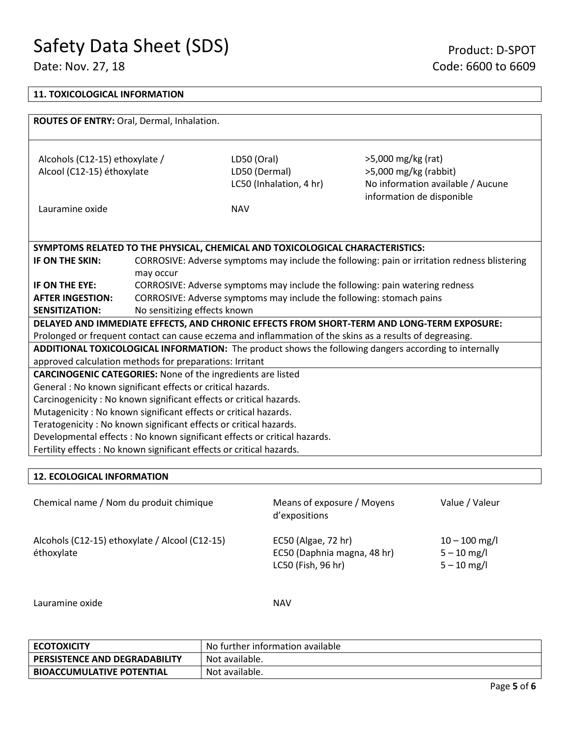┑

| <b>11. TOXICOLOGICAL INFORMATION</b>                                  |                                                                                                                                                      |                                                                               |                                                                                                          |  |  |
|-----------------------------------------------------------------------|------------------------------------------------------------------------------------------------------------------------------------------------------|-------------------------------------------------------------------------------|----------------------------------------------------------------------------------------------------------|--|--|
|                                                                       |                                                                                                                                                      |                                                                               |                                                                                                          |  |  |
| ROUTES OF ENTRY: Oral, Dermal, Inhalation.                            |                                                                                                                                                      |                                                                               |                                                                                                          |  |  |
|                                                                       |                                                                                                                                                      |                                                                               |                                                                                                          |  |  |
| Alcohols (C12-15) ethoxylate /                                        |                                                                                                                                                      | LD50 (Oral)                                                                   | >5,000 mg/kg (rat)                                                                                       |  |  |
| Alcool (C12-15) éthoxylate                                            |                                                                                                                                                      | LD50 (Dermal)                                                                 | $>5,000$ mg/kg (rabbit)                                                                                  |  |  |
|                                                                       |                                                                                                                                                      | LC50 (Inhalation, 4 hr)                                                       | No information available / Aucune                                                                        |  |  |
|                                                                       |                                                                                                                                                      |                                                                               | information de disponible                                                                                |  |  |
| Lauramine oxide                                                       |                                                                                                                                                      | <b>NAV</b>                                                                    |                                                                                                          |  |  |
|                                                                       |                                                                                                                                                      |                                                                               |                                                                                                          |  |  |
|                                                                       |                                                                                                                                                      |                                                                               |                                                                                                          |  |  |
|                                                                       |                                                                                                                                                      | SYMPTOMS RELATED TO THE PHYSICAL, CHEMICAL AND TOXICOLOGICAL CHARACTERISTICS: |                                                                                                          |  |  |
| IF ON THE SKIN:                                                       |                                                                                                                                                      |                                                                               | CORROSIVE: Adverse symptoms may include the following: pain or irritation redness blistering             |  |  |
| IF ON THE EYE:                                                        | may occur                                                                                                                                            |                                                                               |                                                                                                          |  |  |
| <b>AFTER INGESTION:</b>                                               | CORROSIVE: Adverse symptoms may include the following: pain watering redness<br>CORROSIVE: Adverse symptoms may include the following: stomach pains |                                                                               |                                                                                                          |  |  |
| <b>SENSITIZATION:</b>                                                 | No sensitizing effects known                                                                                                                         |                                                                               |                                                                                                          |  |  |
|                                                                       |                                                                                                                                                      |                                                                               | DELAYED AND IMMEDIATE EFFECTS, AND CHRONIC EFFECTS FROM SHORT-TERM AND LONG-TERM EXPOSURE:               |  |  |
|                                                                       |                                                                                                                                                      |                                                                               | Prolonged or frequent contact can cause eczema and inflammation of the skins as a results of degreasing. |  |  |
|                                                                       |                                                                                                                                                      |                                                                               | ADDITIONAL TOXICOLOGICAL INFORMATION: The product shows the following dangers according to internally    |  |  |
| approved calculation methods for preparations: Irritant               |                                                                                                                                                      |                                                                               |                                                                                                          |  |  |
| <b>CARCINOGENIC CATEGORIES:</b> None of the ingredients are listed    |                                                                                                                                                      |                                                                               |                                                                                                          |  |  |
| General : No known significant effects or critical hazards.           |                                                                                                                                                      |                                                                               |                                                                                                          |  |  |
| Carcinogenicity: No known significant effects or critical hazards.    |                                                                                                                                                      |                                                                               |                                                                                                          |  |  |
| Mutagenicity: No known significant effects or critical hazards.       |                                                                                                                                                      |                                                                               |                                                                                                          |  |  |
| Teratogenicity: No known significant effects or critical hazards.     |                                                                                                                                                      |                                                                               |                                                                                                          |  |  |
|                                                                       | Developmental effects : No known significant effects or critical hazards.                                                                            |                                                                               |                                                                                                          |  |  |
| Fertility effects : No known significant effects or critical hazards. |                                                                                                                                                      |                                                                               |                                                                                                          |  |  |

### **12. ECOLOGICAL INFORMATION**

Chemical name / Nom du produit chimique Means of exposure / Moyens d'expositions Value / Valeur Alcohols (C12-15) ethoxylate / Alcool (C12-15) éthoxylate EC50 (Algae, 72 hr) EC50 (Daphnia magna, 48 hr) LC50 (Fish, 96 hr)  $10 - 100$  mg/l 5 – 10 mg/l 5 – 10 mg/l

Lauramine oxide NAV

| <b>ECOTOXICITY</b>                   | No further information available |
|--------------------------------------|----------------------------------|
| <b>PERSISTENCE AND DEGRADABILITY</b> | Not available.                   |
| <b>BIOACCUMULATIVE POTENTIAL</b>     | Not available.                   |